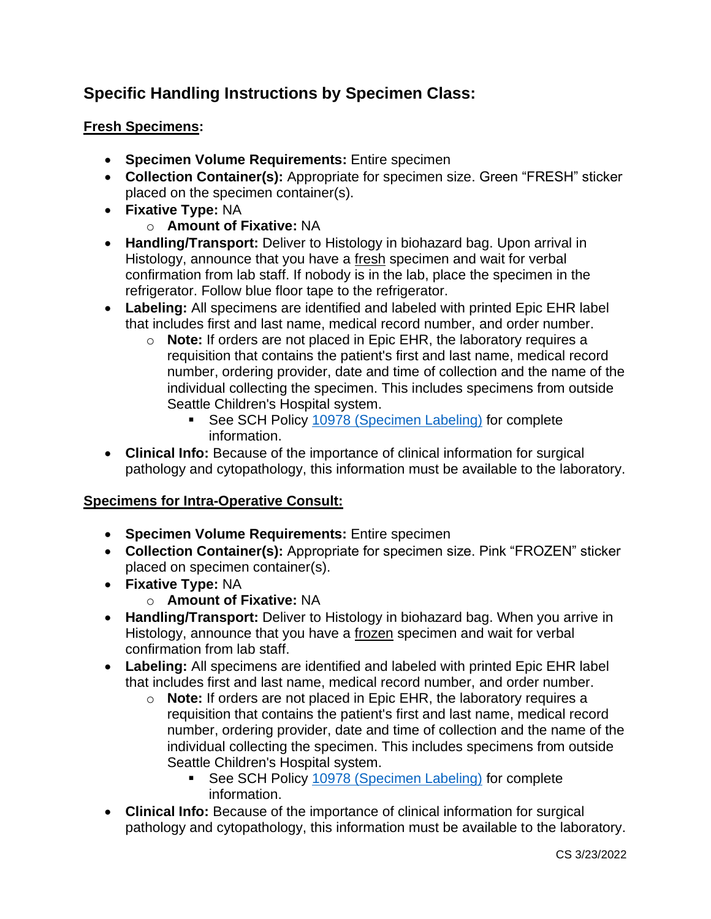# **Specific Handling Instructions by Specimen Class:**

# **Fresh Specimens:**

- **Specimen Volume Requirements:** Entire specimen
- **Collection Container(s):** Appropriate for specimen size. Green "FRESH" sticker placed on the specimen container(s).
- **Fixative Type:** NA
	- o **Amount of Fixative:** NA
- **Handling/Transport:** Deliver to Histology in biohazard bag. Upon arrival in Histology, announce that you have a fresh specimen and wait for verbal confirmation from lab staff. If nobody is in the lab, place the specimen in the refrigerator. Follow blue floor tape to the refrigerator.
- **Labeling:** All specimens are identified and labeled with printed Epic EHR label that includes first and last name, medical record number, and order number.
	- o **Note:** If orders are not placed in Epic EHR, the laboratory requires a requisition that contains the patient's first and last name, medical record number, ordering provider, date and time of collection and the name of the individual collecting the specimen. This includes specimens from outside Seattle Children's Hospital system.
		- See SCH Policy [10978 \(Specimen Labeling\)](https://seattlechildrens.policystat.com/policy/9388860/latest/) for complete information.
- **Clinical Info:** Because of the importance of clinical information for surgical pathology and cytopathology, this information must be available to the laboratory.

# **Specimens for Intra-Operative Consult:**

- **Specimen Volume Requirements:** Entire specimen
- **Collection Container(s):** Appropriate for specimen size. Pink "FROZEN" sticker placed on specimen container(s).
- **Fixative Type:** NA
	- o **Amount of Fixative:** NA
- **Handling/Transport:** Deliver to Histology in biohazard bag. When you arrive in Histology, announce that you have a frozen specimen and wait for verbal confirmation from lab staff.
- **Labeling:** All specimens are identified and labeled with printed Epic EHR label that includes first and last name, medical record number, and order number.
	- o **Note:** If orders are not placed in Epic EHR, the laboratory requires a requisition that contains the patient's first and last name, medical record number, ordering provider, date and time of collection and the name of the individual collecting the specimen. This includes specimens from outside Seattle Children's Hospital system.
		- See SCH Policy [10978 \(Specimen Labeling\)](https://seattlechildrens.policystat.com/policy/9388860/latest/) for complete information.
- **Clinical Info:** Because of the importance of clinical information for surgical pathology and cytopathology, this information must be available to the laboratory.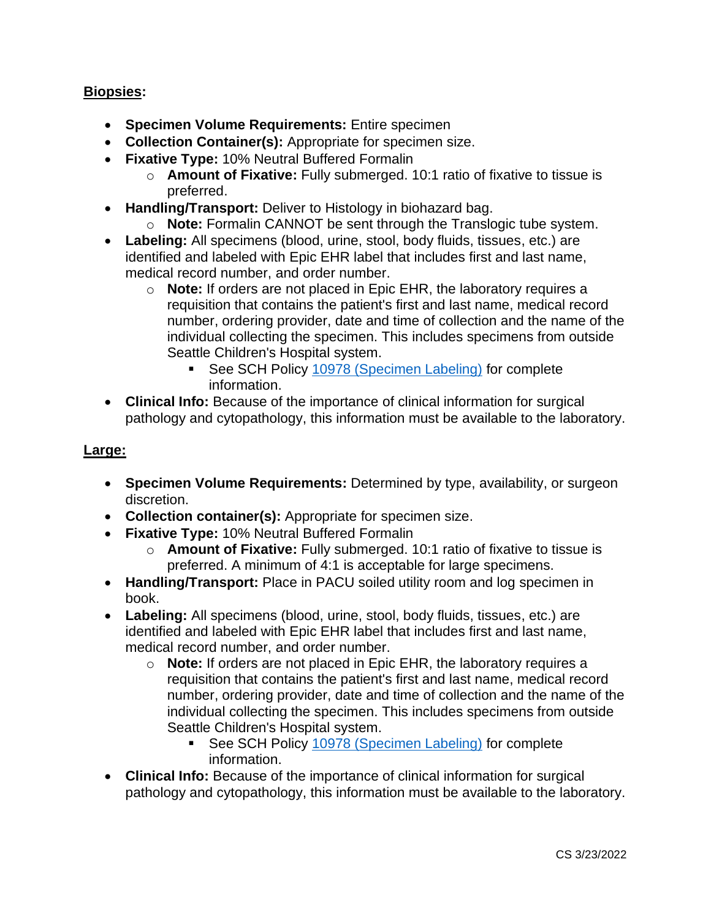## **Biopsies:**

- **Specimen Volume Requirements:** Entire specimen
- **Collection Container(s):** Appropriate for specimen size.
- **Fixative Type:** 10% Neutral Buffered Formalin
	- o **Amount of Fixative:** Fully submerged. 10:1 ratio of fixative to tissue is preferred.
- **Handling/Transport:** Deliver to Histology in biohazard bag.
	- o **Note:** Formalin CANNOT be sent through the Translogic tube system.
- **Labeling:** All specimens (blood, urine, stool, body fluids, tissues, etc.) are identified and labeled with Epic EHR label that includes first and last name, medical record number, and order number.
	- o **Note:** If orders are not placed in Epic EHR, the laboratory requires a requisition that contains the patient's first and last name, medical record number, ordering provider, date and time of collection and the name of the individual collecting the specimen. This includes specimens from outside Seattle Children's Hospital system.
		- See SCH Policy [10978 \(Specimen Labeling\)](https://seattlechildrens.policystat.com/policy/9388860/latest/) for complete information.
- **Clinical Info:** Because of the importance of clinical information for surgical pathology and cytopathology, this information must be available to the laboratory.

#### **Large:**

- **Specimen Volume Requirements:** Determined by type, availability, or surgeon discretion.
- **Collection container(s):** Appropriate for specimen size.
- **Fixative Type:** 10% Neutral Buffered Formalin
	- o **Amount of Fixative:** Fully submerged. 10:1 ratio of fixative to tissue is preferred. A minimum of 4:1 is acceptable for large specimens.
- **Handling/Transport:** Place in PACU soiled utility room and log specimen in book.
- **Labeling:** All specimens (blood, urine, stool, body fluids, tissues, etc.) are identified and labeled with Epic EHR label that includes first and last name, medical record number, and order number.
	- o **Note:** If orders are not placed in Epic EHR, the laboratory requires a requisition that contains the patient's first and last name, medical record number, ordering provider, date and time of collection and the name of the individual collecting the specimen. This includes specimens from outside Seattle Children's Hospital system.
		- See SCH Policy [10978 \(Specimen Labeling\)](https://seattlechildrens.policystat.com/policy/9388860/latest/) for complete information.
- **Clinical Info:** Because of the importance of clinical information for surgical pathology and cytopathology, this information must be available to the laboratory.